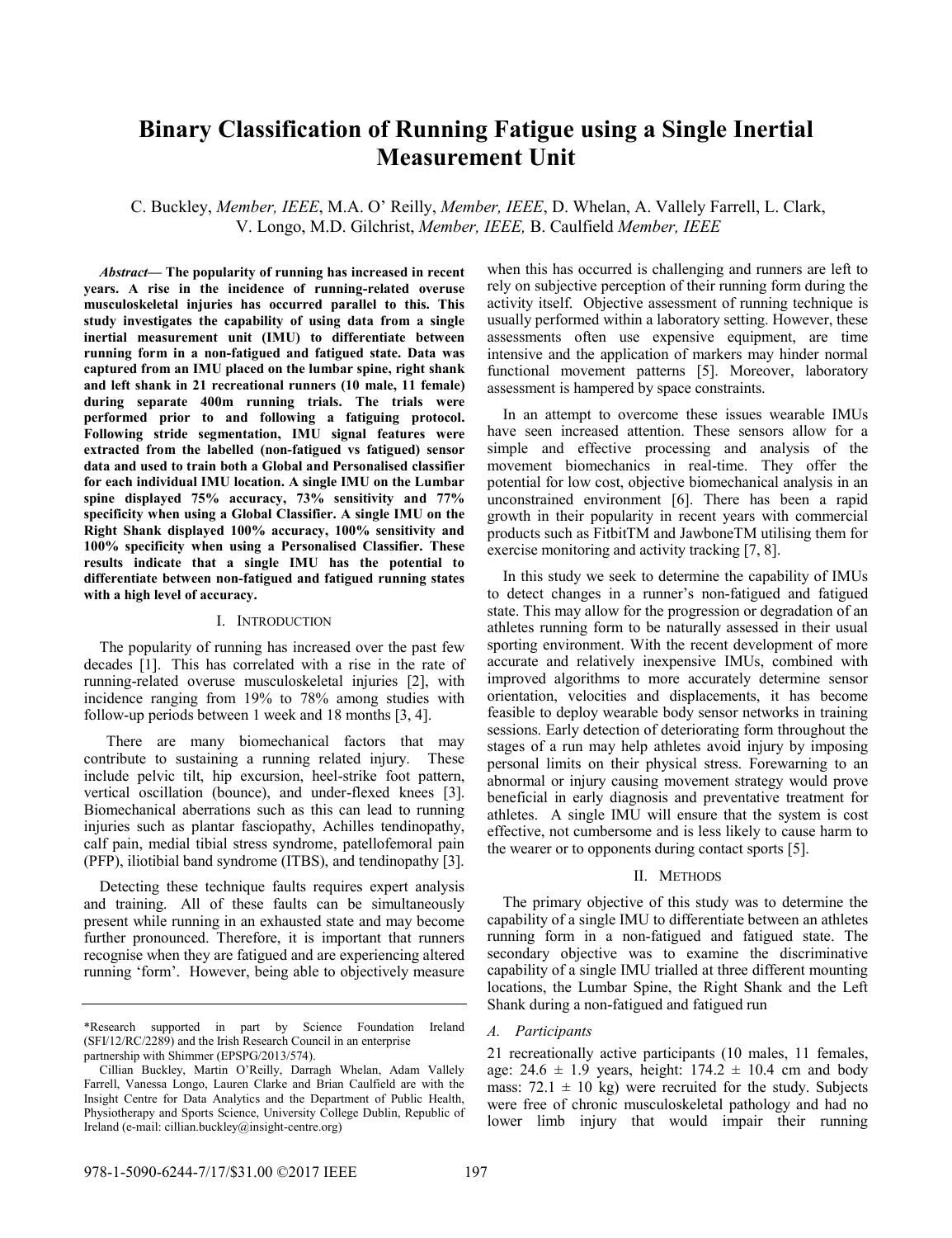# **Binary Classification of Running Fatigue using a Single Inertial Measurement Unit**

C. Buckley, *Member, IEEE*, M.A. O' Reilly, *Member, IEEE*, D. Whelan, A. Vallely Farrell, L. Clark, V. Longo, M.D. Gilchrist, *Member, IEEE,* B. Caulfield *Member, IEEE*

*Abstract***— The popularity of running has increased in recent years. A rise in the incidence of running-related overuse musculoskeletal injuries has occurred parallel to this. This study investigates the capability of using data from a single inertial measurement unit (IMU) to differentiate between running form in a non-fatigued and fatigued state. Data was captured from an IMU placed on the lumbar spine, right shank and left shank in 21 recreational runners (10 male, 11 female) during separate 400m running trials. The trials were performed prior to and following a fatiguing protocol. Following stride segmentation, IMU signal features were extracted from the labelled (non-fatigued vs fatigued) sensor data and used to train both a Global and Personalised classifier for each individual IMU location. A single IMU on the Lumbar spine displayed 75% accuracy, 73% sensitivity and 77% specificity when using a Global Classifier. A single IMU on the Right Shank displayed 100% accuracy, 100% sensitivity and 100% specificity when using a Personalised Classifier. These results indicate that a single IMU has the potential to differentiate between non-fatigued and fatigued running states with a high level of accuracy.**

## I. INTRODUCTION

The popularity of running has increased over the past few decades [1]. This has correlated with a rise in the rate of running-related overuse musculoskeletal injuries [2], with incidence ranging from 19% to 78% among studies with follow-up periods between 1 week and 18 months [3, 4].

There are many biomechanical factors that may contribute to sustaining a running related injury. These include pelvic tilt, hip excursion, heel-strike foot pattern, vertical oscillation (bounce), and under-flexed knees [3]. Biomechanical aberrations such as this can lead to running injuries such as plantar fasciopathy, Achilles tendinopathy, calf pain, medial tibial stress syndrome, patellofemoral pain (PFP), iliotibial band syndrome (ITBS), and tendinopathy [3].

Detecting these technique faults requires expert analysis and training. All of these faults can be simultaneously present while running in an exhausted state and may become further pronounced. Therefore, it is important that runners recognise when they are fatigued and are experiencing altered running 'form'. However, being able to objectively measure when this has occurred is challenging and runners are left to rely on subjective perception of their running form during the activity itself. Objective assessment of running technique is usually performed within a laboratory setting. However, these assessments often use expensive equipment, are time intensive and the application of markers may hinder normal functional movement patterns [5]. Moreover, laboratory assessment is hampered by space constraints.

In an attempt to overcome these issues wearable IMUs have seen increased attention. These sensors allow for a simple and effective processing and analysis of the movement biomechanics in real-time. They offer the potential for low cost, objective biomechanical analysis in an unconstrained environment [6]. There has been a rapid growth in their popularity in recent years with commercial products such as FitbitTM and JawboneTM utilising them for exercise monitoring and activity tracking [7, 8].

In this study we seek to determine the capability of IMUs to detect changes in a runner's non-fatigued and fatigued state. This may allow for the progression or degradation of an athletes running form to be naturally assessed in their usual sporting environment. With the recent development of more accurate and relatively inexpensive IMUs, combined with improved algorithms to more accurately determine sensor orientation, velocities and displacements, it has become feasible to deploy wearable body sensor networks in training sessions. Early detection of deteriorating form throughout the stages of a run may help athletes avoid injury by imposing personal limits on their physical stress. Forewarning to an abnormal or injury causing movement strategy would prove beneficial in early diagnosis and preventative treatment for athletes. A single IMU will ensure that the system is cost effective, not cumbersome and is less likely to cause harm to the wearer or to opponents during contact sports [5].

## II. METHODS

The primary objective of this study was to determine the capability of a single IMU to differentiate between an athletes running form in a non-fatigued and fatigued state. The secondary objective was to examine the discriminative capability of a single IMU trialled at three different mounting locations, the Lumbar Spine, the Right Shank and the Left Shank during a non-fatigued and fatigued run

# *A. Participants*

21 recreationally active participants (10 males, 11 females, age:  $24.6 \pm 1.9$  years, height:  $174.2 \pm 10.4$  cm and body mass:  $72.1 \pm 10$  kg) were recruited for the study. Subjects were free of chronic musculoskeletal pathology and had no lower limb injury that would impair their running

<sup>\*</sup>Research supported in part by Science Foundation Ireland (SFI/12/RC/2289) and the Irish Research Council in an enterprise partnership with Shimmer (EPSPG/2013/574).

Cillian Buckley, Martin O'Reilly, Darragh Whelan, Adam Vallely Farrell, Vanessa Longo, Lauren Clarke and Brian Caulfield are with the Insight Centre for Data Analytics and the Department of Public Health, Physiotherapy and Sports Science, University College Dublin, Republic of Ireland (e-mail: cillian.buckley@insight-centre.org)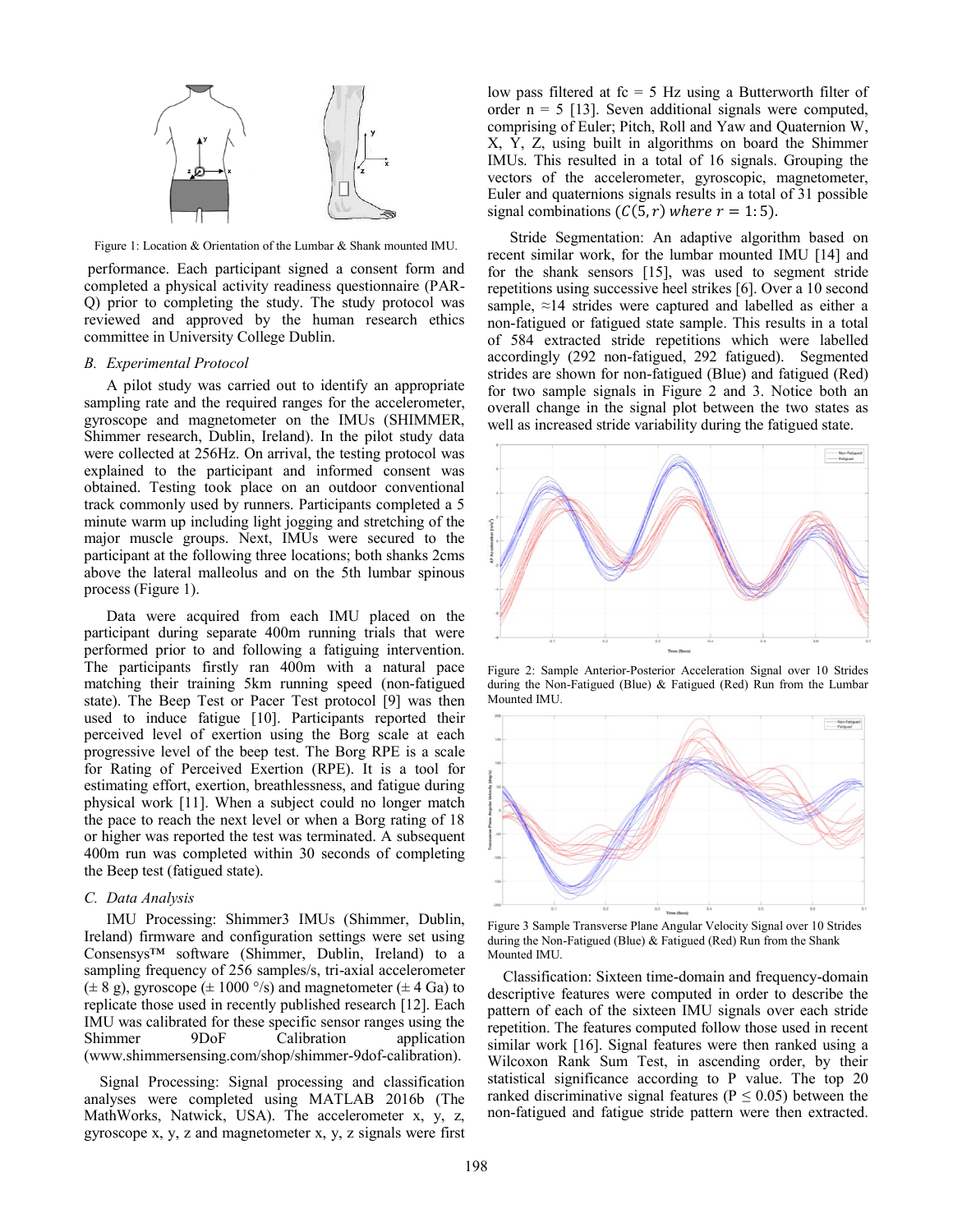

Figure 1: Location & Orientation of the Lumbar & Shank mounted IMU.

performance. Each participant signed a consent form and completed a physical activity readiness questionnaire (PAR-Q) prior to completing the study. The study protocol was reviewed and approved by the human research ethics committee in University College Dublin.

#### *B. Experimental Protocol*

A pilot study was carried out to identify an appropriate sampling rate and the required ranges for the accelerometer, gyroscope and magnetometer on the IMUs (SHIMMER, Shimmer research, Dublin, Ireland). In the pilot study data were collected at 256Hz. On arrival, the testing protocol was explained to the participant and informed consent was obtained. Testing took place on an outdoor conventional track commonly used by runners. Participants completed a 5 minute warm up including light jogging and stretching of the major muscle groups. Next, IMUs were secured to the participant at the following three locations; both shanks 2cms above the lateral malleolus and on the 5th lumbar spinous process (Figure 1).

Data were acquired from each IMU placed on the participant during separate 400m running trials that were performed prior to and following a fatiguing intervention. The participants firstly ran 400m with a natural pace matching their training 5km running speed (non-fatigued state). The Beep Test or Pacer Test protocol [9] was then used to induce fatigue [10]. Participants reported their perceived level of exertion using the Borg scale at each progressive level of the beep test. The Borg RPE is a scale for Rating of Perceived Exertion (RPE). It is a tool for estimating effort, exertion, breathlessness, and fatigue during physical work [11]. When a subject could no longer match the pace to reach the next level or when a Borg rating of 18 or higher was reported the test was terminated. A subsequent 400m run was completed within 30 seconds of completing the Beep test (fatigued state).

# *C. Data Analysis*

IMU Processing: Shimmer3 IMUs (Shimmer, Dublin, Ireland) firmware and configuration settings were set using Consensys™ software (Shimmer, Dublin, Ireland) to a sampling frequency of 256 samples/s, tri-axial accelerometer  $(\pm 8 \text{ g})$ , gyroscope  $(\pm 1000 \text{ °/s})$  and magnetometer  $(\pm 4 \text{ Ga})$  to replicate those used in recently published research [12]. Each IMU was calibrated for these specific sensor ranges using the Shimmer 9DoF Calibration application (www.shimmersensing.com/shop/shimmer-9dof-calibration).

Signal Processing: Signal processing and classification analyses were completed using MATLAB 2016b (The MathWorks, Natwick, USA). The accelerometer x, y, z, gyroscope x, y, z and magnetometer x, y, z signals were first

low pass filtered at  $fc = 5$  Hz using a Butterworth filter of order  $n = 5$  [13]. Seven additional signals were computed, comprising of Euler; Pitch, Roll and Yaw and Quaternion W, X, Y, Z, using built in algorithms on board the Shimmer IMUs. This resulted in a total of 16 signals. Grouping the vectors of the accelerometer, gyroscopic, magnetometer, Euler and quaternions signals results in a total of 31 possible signal combinations  $(C(5, r)$  where  $r = 1:5$ ).

Stride Segmentation: An adaptive algorithm based on recent similar work, for the lumbar mounted IMU [14] and for the shank sensors [15], was used to segment stride repetitions using successive heel strikes [6]. Over a 10 second sample, ≈14 strides were captured and labelled as either a non-fatigued or fatigued state sample. This results in a total of 584 extracted stride repetitions which were labelled accordingly (292 non-fatigued, 292 fatigued). Segmented strides are shown for non-fatigued (Blue) and fatigued (Red) for two sample signals in Figure 2 and 3. Notice both an overall change in the signal plot between the two states as well as increased stride variability during the fatigued state.



Figure 2: Sample Anterior-Posterior Acceleration Signal over 10 Strides during the Non-Fatigued (Blue) & Fatigued (Red) Run from the Lumbar Mounted IMU.



Figure 3 Sample Transverse Plane Angular Velocity Signal over 10 Strides during the Non-Fatigued (Blue) & Fatigued (Red) Run from the Shank Mounted IMU.

Classification: Sixteen time-domain and frequency-domain descriptive features were computed in order to describe the pattern of each of the sixteen IMU signals over each stride repetition. The features computed follow those used in recent similar work [16]. Signal features were then ranked using a Wilcoxon Rank Sum Test, in ascending order, by their statistical significance according to P value. The top 20 ranked discriminative signal features ( $P \le 0.05$ ) between the non-fatigued and fatigue stride pattern were then extracted.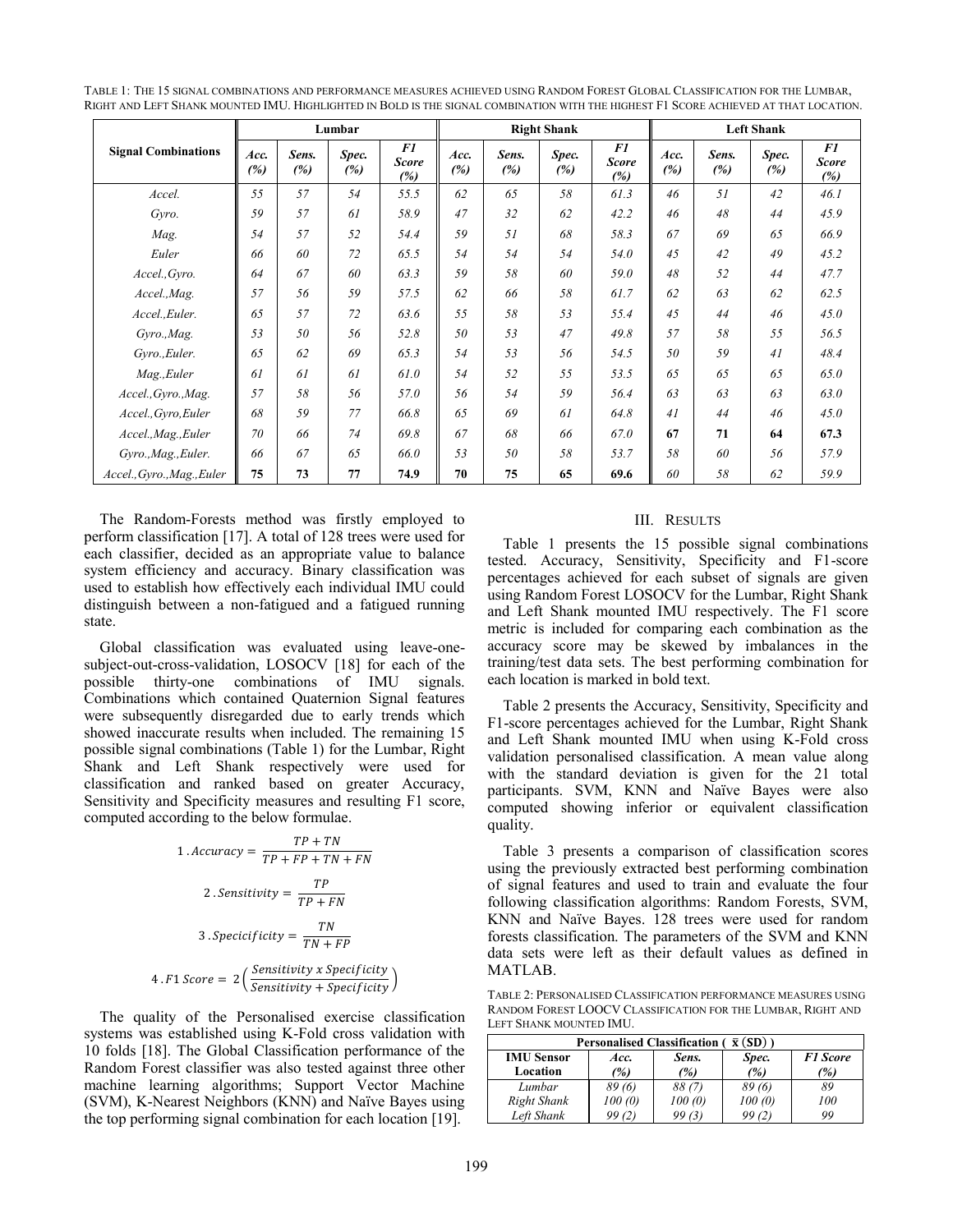TABLE 1: THE 15 SIGNAL COMBINATIONS AND PERFORMANCE MEASURES ACHIEVED USING RANDOM FOREST GLOBAL CLASSIFICATION FOR THE LUMBAR, RIGHT AND LEFT SHANK MOUNTED IMU. HIGHLIGHTED IN BOLD IS THE SIGNAL COMBINATION WITH THE HIGHEST F1 SCORE ACHIEVED AT THAT LOCATION.

|                            | Lumbar      |              |              |                           | <b>Right Shank</b> |              |              |                           | <b>Left Shank</b> |              |              |                           |
|----------------------------|-------------|--------------|--------------|---------------------------|--------------------|--------------|--------------|---------------------------|-------------------|--------------|--------------|---------------------------|
| <b>Signal Combinations</b> | Acc.<br>(%) | Sens.<br>(%) | Spec.<br>(%) | F1<br><b>Score</b><br>(%) | Acc.<br>(%)        | Sens.<br>(%) | Spec.<br>(%) | F1<br><b>Score</b><br>(%) | Acc.<br>(%)       | Sens.<br>(%) | Spec.<br>(%) | F1<br><b>Score</b><br>(%) |
| Accel.                     | 55          | 57           | 54           | 55.5                      | 62                 | 65           | 58           | 61.3                      | 46                | 51           | 42           | 46.1                      |
| Gyro.                      | 59          | 57           | 61           | 58.9                      | 47                 | 32           | 62           | 42.2                      | 46                | 48           | 44           | 45.9                      |
| Mag.                       | 54          | 57           | 52           | 54.4                      | 59                 | 51           | 68           | 58.3                      | 67                | 69           | 65           | 66.9                      |
| Euler                      | 66          | 60           | 72           | 65.5                      | 54                 | 54           | 54           | 54.0                      | 45                | 42           | 49           | 45.2                      |
| Accel., Gyro.              | 64          | 67           | 60           | 63.3                      | 59                 | 58           | 60           | 59.0                      | 48                | 52           | 44           | 47.7                      |
| Accel., Mag.               | 57          | 56           | 59           | 57.5                      | 62                 | 66           | 58           | 61.7                      | 62                | 63           | 62           | 62.5                      |
| Accel., Euler.             | 65          | 57           | 72           | 63.6                      | 55                 | 58           | 53           | 55.4                      | 45                | 44           | 46           | 45.0                      |
| Gyro., Mag.                | 53          | 50           | 56           | 52.8                      | 50                 | 53           | 47           | 49.8                      | 57                | 58           | 55           | 56.5                      |
| Gyro., Euler.              | 65          | 62           | 69           | 65.3                      | 54                 | 53           | 56           | 54.5                      | 50                | 59           | 41           | 48.4                      |
| Mag., Euler                | 61          | 61           | 61           | 61.0                      | 54                 | 52           | 55           | 53.5                      | 65                | 65           | 65           | 65.0                      |
| Accel., Gyro., Mag.        | 57          | 58           | 56           | 57.0                      | 56                 | 54           | 59           | 56.4                      | 63                | 63           | 63           | 63.0                      |
| Accel., Gyro, Euler        | 68          | 59           | 77           | 66.8                      | 65                 | 69           | 61           | 64.8                      | 41                | 44           | 46           | 45.0                      |
| Accel., Mag., Euler        | 70          | 66           | 74           | 69.8                      | 67                 | 68           | 66           | 67.0                      | 67                | 71           | 64           | 67.3                      |
| Gyro., Mag., Euler.        | 66          | 67           | 65           | 66.0                      | 53                 | 50           | 58           | 53.7                      | 58                | 60           | 56           | 57.9                      |
| Accel., Gyro., Mag., Euler | 75          | 73           | 77           | 74.9                      | 70                 | 75           | 65           | 69.6                      | 60                | 58           | 62           | 59.9                      |

The Random-Forests method was firstly employed to perform classification [17]. A total of 128 trees were used for each classifier, decided as an appropriate value to balance system efficiency and accuracy. Binary classification was used to establish how effectively each individual IMU could distinguish between a non-fatigued and a fatigued running state.

Global classification was evaluated using leave-onesubject-out-cross-validation, LOSOCV [18] for each of the possible thirty-one combinations of IMU signals. Combinations which contained Quaternion Signal features were subsequently disregarded due to early trends which showed inaccurate results when included. The remaining 15 possible signal combinations (Table 1) for the Lumbar, Right Shank and Left Shank respectively were used for classification and ranked based on greater Accuracy, Sensitivity and Specificity measures and resulting F1 score, computed according to the below formulae.

1. 
$$
Accuracy = \frac{TP + TN}{TP + FP + TN + FN}
$$
  
2. 
$$
Sensitivity = \frac{TP}{TP + FN}
$$
  
3. 
$$
Specificity = \frac{TN}{TN + FP}
$$
  
4. 
$$
F1 Score = 2\left(\frac{Sensitivity \times Specificity}{Sensitivity + Specificity}\right)
$$

The quality of the Personalised exercise classification systems was established using K-Fold cross validation with 10 folds [18]. The Global Classification performance of the Random Forest classifier was also tested against three other machine learning algorithms; Support Vector Machine (SVM), K-Nearest Neighbors (KNN) and Naïve Bayes using the top performing signal combination for each location [19].

# III. RESULTS

Table 1 presents the 15 possible signal combinations tested. Accuracy, Sensitivity, Specificity and F1-score percentages achieved for each subset of signals are given using Random Forest LOSOCV for the Lumbar, Right Shank and Left Shank mounted IMU respectively. The F1 score metric is included for comparing each combination as the accuracy score may be skewed by imbalances in the training/test data sets. The best performing combination for each location is marked in bold text.

Table 2 presents the Accuracy, Sensitivity, Specificity and F1-score percentages achieved for the Lumbar, Right Shank and Left Shank mounted IMU when using K-Fold cross validation personalised classification. A mean value along with the standard deviation is given for the 21 total participants. SVM, KNN and Naïve Bayes were also computed showing inferior or equivalent classification quality.

Table 3 presents a comparison of classification scores using the previously extracted best performing combination of signal features and used to train and evaluate the four following classification algorithms: Random Forests, SVM, KNN and Naïve Bayes. 128 trees were used for random forests classification. The parameters of the SVM and KNN data sets were left as their default values as defined in MATLAB.

TABLE 2: PERSONALISED CLASSIFICATION PERFORMANCE MEASURES USING RANDOM FOREST LOOCV CLASSIFICATION FOR THE LUMBAR, RIGHT AND LEFT SHANK MOUNTED IMU.

| $\bar{x}$ (SD))<br><b>Personalised Classification (</b> |        |                   |         |                 |  |  |  |  |  |
|---------------------------------------------------------|--------|-------------------|---------|-----------------|--|--|--|--|--|
| <b>IMU Sensor</b>                                       | Acc.   | Sens.             | Spec.   | <b>F1 Score</b> |  |  |  |  |  |
| Location                                                | (%)    | (%)               | (%)     | $\%$            |  |  |  |  |  |
| Lumbar                                                  | 89(6)  | 88(7)             | 89(6)   | 89              |  |  |  |  |  |
| Right Shank                                             | 100(0) | 100 (0)           | 100 (0) | 100             |  |  |  |  |  |
| Left Shank                                              | 99(2)  | 99 <sub>(3)</sub> | 99 (2   | 99              |  |  |  |  |  |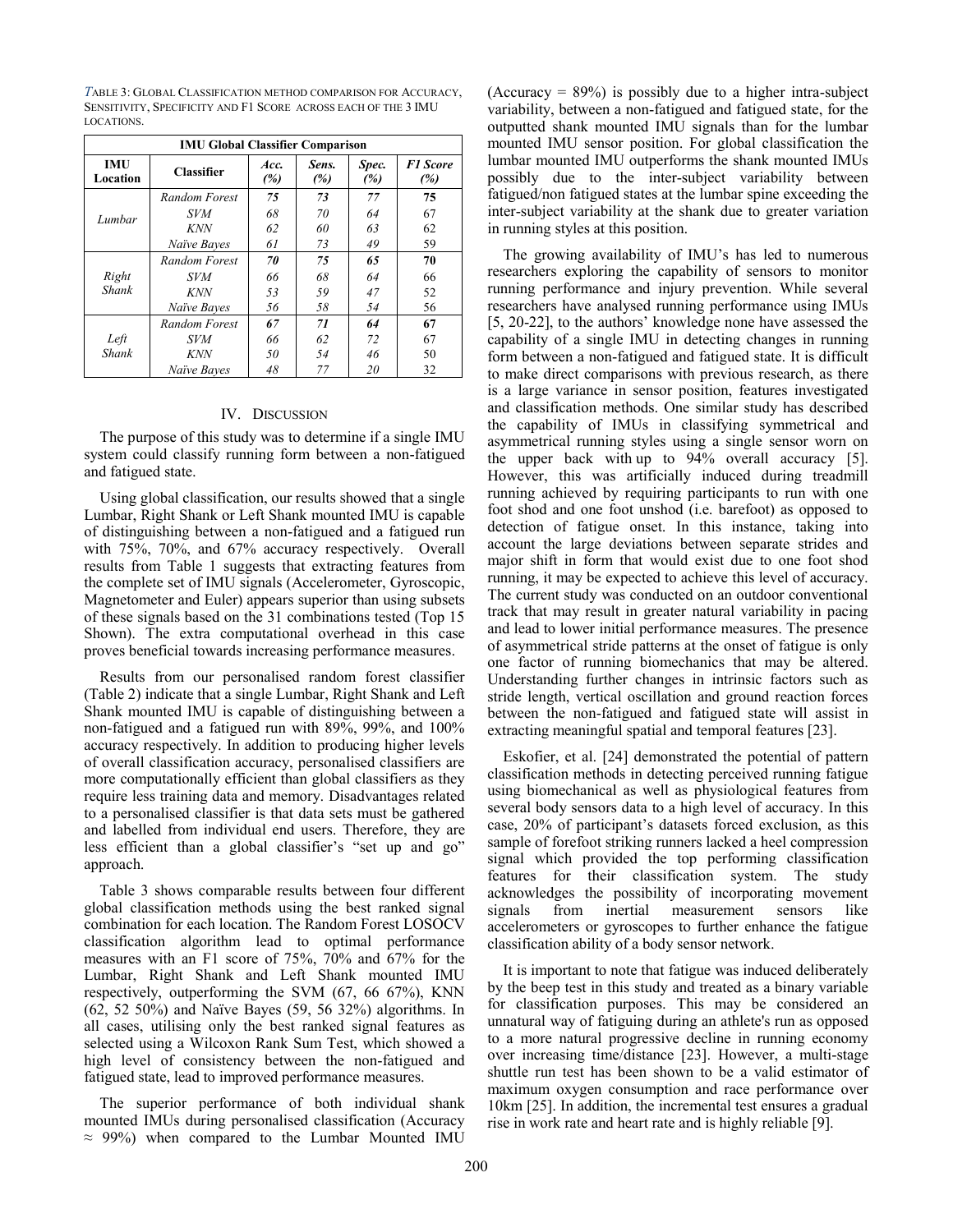*T*ABLE 3: GLOBAL CLASSIFICATION METHOD COMPARISON FOR ACCURACY, SENSITIVITY, SPECIFICITY AND F1 SCORE ACROSS EACH OF THE 3 IMU LOCATIONS.

| <b>IMU Global Classifier Comparison</b> |                      |             |              |              |                        |  |  |  |
|-----------------------------------------|----------------------|-------------|--------------|--------------|------------------------|--|--|--|
| <b>IMU</b><br>Location                  | <b>Classifier</b>    | Acc.<br>(%) | Sens.<br>(%) | Spec.<br>(%) | <b>F1 Score</b><br>(%) |  |  |  |
| Lumbar                                  | Random Forest        | 75          | 73           | 77           | 75                     |  |  |  |
|                                         | <b>SVM</b>           | 68          | 70           | 64           | 67                     |  |  |  |
|                                         | <b>KNN</b>           | 62          | 60           | 63           | 62                     |  |  |  |
|                                         | Naïve Baves          | 61          | 73           | 49           | 59                     |  |  |  |
|                                         | <b>Random Forest</b> | 70          | 75           | 65           | 70                     |  |  |  |
| Right<br><b>Shank</b>                   | <b>SVM</b>           | 66          | 68           | 64           | 66                     |  |  |  |
|                                         | <b>KNN</b>           | 53          | 59           | 47           | 52                     |  |  |  |
|                                         | Naïve Bayes          | 56          | 58           | 54           | 56                     |  |  |  |
|                                         | <b>Random Forest</b> | 67          | 71           | 64           | 67                     |  |  |  |
| Left<br><b>Shank</b>                    | <i>SVM</i>           | 66          | 62           | 72           | 67                     |  |  |  |
|                                         | <b>KNN</b>           | 50          | 54           | 46           | 50                     |  |  |  |
|                                         | Naïve Baves          | 48          | 77           | 20           | 32                     |  |  |  |

### IV. DISCUSSION

The purpose of this study was to determine if a single IMU system could classify running form between a non-fatigued and fatigued state.

Using global classification, our results showed that a single Lumbar, Right Shank or Left Shank mounted IMU is capable of distinguishing between a non-fatigued and a fatigued run with 75%, 70%, and 67% accuracy respectively. Overall results from Table 1 suggests that extracting features from the complete set of IMU signals (Accelerometer, Gyroscopic, Magnetometer and Euler) appears superior than using subsets of these signals based on the 31 combinations tested (Top 15 Shown). The extra computational overhead in this case proves beneficial towards increasing performance measures.

Results from our personalised random forest classifier (Table 2) indicate that a single Lumbar, Right Shank and Left Shank mounted IMU is capable of distinguishing between a non-fatigued and a fatigued run with 89%, 99%, and 100% accuracy respectively. In addition to producing higher levels of overall classification accuracy, personalised classifiers are more computationally efficient than global classifiers as they require less training data and memory. Disadvantages related to a personalised classifier is that data sets must be gathered and labelled from individual end users. Therefore, they are less efficient than a global classifier's "set up and go" approach.

Table 3 shows comparable results between four different global classification methods using the best ranked signal combination for each location. The Random Forest LOSOCV classification algorithm lead to optimal performance measures with an F1 score of 75%, 70% and 67% for the Lumbar, Right Shank and Left Shank mounted IMU respectively, outperforming the SVM (67, 66 67%), KNN (62, 52 50%) and Naïve Bayes (59, 56 32%) algorithms. In all cases, utilising only the best ranked signal features as selected using a Wilcoxon Rank Sum Test, which showed a high level of consistency between the non-fatigued and fatigued state, lead to improved performance measures.

The superior performance of both individual shank mounted IMUs during personalised classification (Accuracy  $\approx$  99%) when compared to the Lumbar Mounted IMU

(Accuracy  $= 89\%$ ) is possibly due to a higher intra-subject variability, between a non-fatigued and fatigued state, for the outputted shank mounted IMU signals than for the lumbar mounted IMU sensor position. For global classification the lumbar mounted IMU outperforms the shank mounted IMUs possibly due to the inter-subject variability between fatigued/non fatigued states at the lumbar spine exceeding the inter-subject variability at the shank due to greater variation in running styles at this position.

The growing availability of IMU's has led to numerous researchers exploring the capability of sensors to monitor running performance and injury prevention. While several researchers have analysed running performance using IMUs [5, 20-22], to the authors' knowledge none have assessed the capability of a single IMU in detecting changes in running form between a non-fatigued and fatigued state. It is difficult to make direct comparisons with previous research, as there is a large variance in sensor position, features investigated and classification methods. One similar study has described the capability of IMUs in classifying symmetrical and asymmetrical running styles using a single sensor worn on the upper back with up to 94% overall accuracy [5]. However, this was artificially induced during treadmill running achieved by requiring participants to run with one foot shod and one foot unshod (i.e. barefoot) as opposed to detection of fatigue onset. In this instance, taking into account the large deviations between separate strides and major shift in form that would exist due to one foot shod running, it may be expected to achieve this level of accuracy. The current study was conducted on an outdoor conventional track that may result in greater natural variability in pacing and lead to lower initial performance measures. The presence of asymmetrical stride patterns at the onset of fatigue is only one factor of running biomechanics that may be altered. Understanding further changes in intrinsic factors such as stride length, vertical oscillation and ground reaction forces between the non-fatigued and fatigued state will assist in extracting meaningful spatial and temporal features [23].

Eskofier, et al. [24] demonstrated the potential of pattern classification methods in detecting perceived running fatigue using biomechanical as well as physiological features from several body sensors data to a high level of accuracy. In this case, 20% of participant's datasets forced exclusion, as this sample of forefoot striking runners lacked a heel compression signal which provided the top performing classification features for their classification system. The study acknowledges the possibility of incorporating movement signals from inertial measurement sensors like accelerometers or gyroscopes to further enhance the fatigue classification ability of a body sensor network.

It is important to note that fatigue was induced deliberately by the beep test in this study and treated as a binary variable for classification purposes. This may be considered an unnatural way of fatiguing during an athlete's run as opposed to a more natural progressive decline in running economy over increasing time/distance [23]. However, a multi-stage shuttle run test has been shown to be a valid estimator of maximum oxygen consumption and race performance over 10km [25]. In addition, the incremental test ensures a gradual rise in work rate and heart rate and is highly reliable [9].